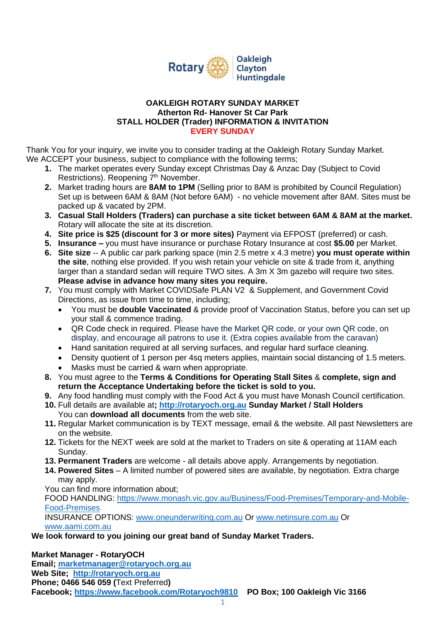

## **OAKLEIGH ROTARY SUNDAY MARKET Atherton Rd- Hanover St Car Park STALL HOLDER (Trader) INFORMATION & INVITATION EVERY SUNDAY**

Thank You for your inquiry, we invite you to consider trading at the Oakleigh Rotary Sunday Market. We ACCEPT your business, subject to compliance with the following terms;

- **1.** The market operates every Sunday except Christmas Day & Anzac Day (Subject to Covid Restrictions). Reopening 7<sup>th</sup> November.
- **2.** Market trading hours are **8AM to 1PM** (Selling prior to 8AM is prohibited by Council Regulation) Set up is between 6AM & 8AM (Not before 6AM) - no vehicle movement after 8AM. Sites must be packed up & vacated by 2PM.
- **3. Casual Stall Holders (Traders) can purchase a site ticket between 6AM & 8AM at the market.**  Rotary will allocate the site at its discretion.
- **4. Site price is \$25 (discount for 3 or more sites)** Payment via EFPOST (preferred) or cash.
- **5. Insurance –** you must have insurance or purchase Rotary Insurance at cost **\$5.00** per Market.
- **6. Site size** -- A public car park parking space (min 2.5 metre x 4.3 metre) **you must operate within the site**, nothing else provided. If you wish retain your vehicle on site & trade from it, anything larger than a standard sedan will require TWO sites. A 3m X 3m gazebo will require two sites. **Please advise in advance how many sites you require.**
- **7.** You must comply with Market COVIDSafe PLAN V2 & Supplement, and Government Covid Directions, as issue from time to time, including;
	- You must be **double Vaccinated** & provide proof of Vaccination Status, before you can set up your stall & commence trading.
	- QR Code check in required. Please have the Market QR code, or your own QR code, on display, and encourage all patrons to use it. (Extra copies available from the caravan)
	- Hand sanitation required at all serving surfaces, and regular hard surface cleaning.
	- Density quotient of 1 person per 4sq meters applies, maintain social distancing of 1.5 meters.
	- Masks must be carried & warn when appropriate.
- **8.** You must agree to the **Terms & Conditions for Operating Stall Sites** & **complete, sign and return the Acceptance Undertaking before the ticket is sold to you.**
- **9.** Any food handling must comply with the Food Act & you must have Monash Council certification.
- **10.** Full details are available at**; [http://rotaryoch.org.au](http://rotaryoch.org.au/) Sunday Market / Stall Holders** You can **download all documents** from the web site.
- **11.** Regular Market communication is by TEXT message, email & the website. All past Newsletters are on the website.
- **12.** Tickets for the NEXT week are sold at the market to Traders on site & operating at 11AM each Sunday.
- **13. Permanent Traders** are welcome all details above apply. Arrangements by negotiation.
- **14. Powered Sites**  A limited number of powered sites are available, by negotiation. Extra charge may apply.
- You can find more information about;

FOOD HANDLING: [https://www.monash.vic.gov.au/Business/Food-Premises/Temporary-and-Mobile-](https://www.monash.vic.gov.au/Business/Food-Premises/Temporary-and-Mobile-Food-Premises)[Food-Premises](https://www.monash.vic.gov.au/Business/Food-Premises/Temporary-and-Mobile-Food-Premises)

INSURANCE OPTIONS: [www.oneunderwriting.com.au](http://www.oneunderwriting.com.au/) Or [www.netinsure.com.au](http://www.netinsure.com.au/) Or [www.aami.com.au](http://www.aami.com.au/) 

**We look forward to you joining our great band of Sunday Market Traders.**

**Market Manager - RotaryOCH Email; [marketmanager@rotaryoch.org.au](mailto:marketmanager@rotaryoch.org.au) Web Site; [http://rotaryoch.org.au](http://rotaryoch.org.au/) Phone; 0466 546 059 (**Text Preferred**) Facebook; <https://www.facebook.com/Rotaryoch9810> PO Box; 100 Oakleigh Vic 3166**